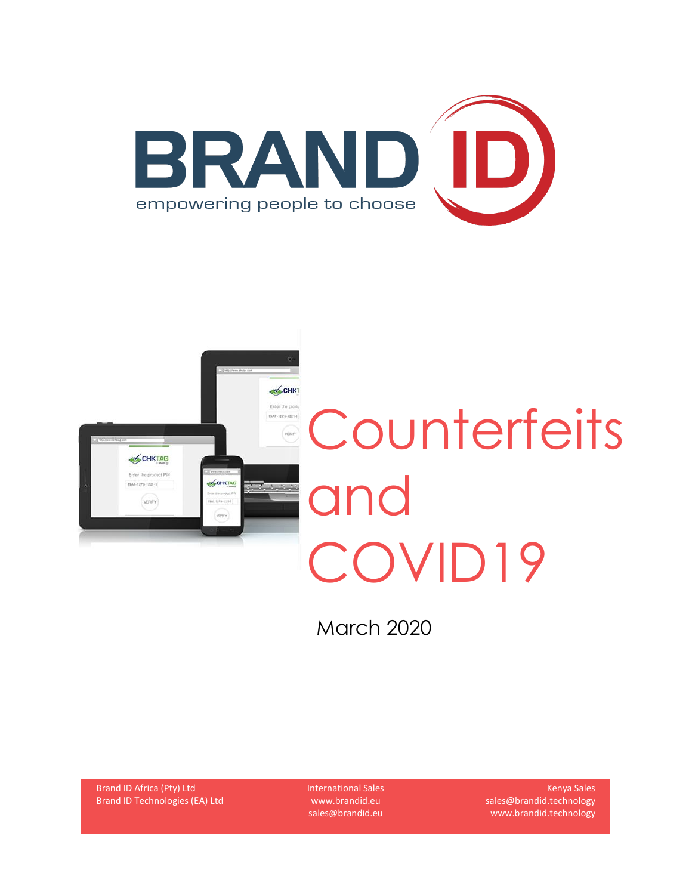



March 2020

Brand ID Africa (Pty) Ltd Brand ID Technologies (EA) Ltd International Sales www.brandid.eu sales@brandid.eu

Kenya Sales sales@brandid.technology www.brandid.technology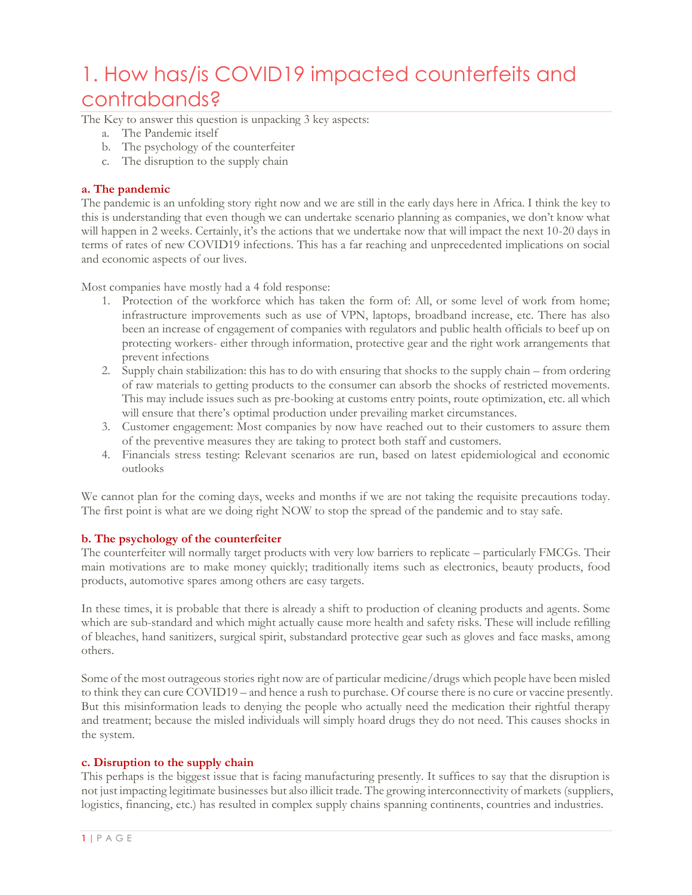## 1. How has/is COVID19 impacted counterfeits and contrabands?

The Key to answer this question is unpacking 3 key aspects:

- a. The Pandemic itself
- b. The psychology of the counterfeiter
- c. The disruption to the supply chain

### **a. The pandemic**

The pandemic is an unfolding story right now and we are still in the early days here in Africa. I think the key to this is understanding that even though we can undertake scenario planning as companies, we don't know what will happen in 2 weeks. Certainly, it's the actions that we undertake now that will impact the next 10-20 days in terms of rates of new COVID19 infections. This has a far reaching and unprecedented implications on social and economic aspects of our lives.

Most companies have mostly had a 4 fold response:

- 1. Protection of the workforce which has taken the form of: All, or some level of work from home; infrastructure improvements such as use of VPN, laptops, broadband increase, etc. There has also been an increase of engagement of companies with regulators and public health officials to beef up on protecting workers- either through information, protective gear and the right work arrangements that prevent infections
- 2. Supply chain stabilization: this has to do with ensuring that shocks to the supply chain from ordering of raw materials to getting products to the consumer can absorb the shocks of restricted movements. This may include issues such as pre-booking at customs entry points, route optimization, etc. all which will ensure that there's optimal production under prevailing market circumstances.
- 3. Customer engagement: Most companies by now have reached out to their customers to assure them of the preventive measures they are taking to protect both staff and customers.
- 4. Financials stress testing: Relevant scenarios are run, based on latest epidemiological and economic outlooks

We cannot plan for the coming days, weeks and months if we are not taking the requisite precautions today. The first point is what are we doing right NOW to stop the spread of the pandemic and to stay safe.

#### **b. The psychology of the counterfeiter**

The counterfeiter will normally target products with very low barriers to replicate – particularly FMCGs. Their main motivations are to make money quickly; traditionally items such as electronics, beauty products, food products, automotive spares among others are easy targets.

In these times, it is probable that there is already a shift to production of cleaning products and agents. Some which are sub-standard and which might actually cause more health and safety risks. These will include refilling of bleaches, hand sanitizers, surgical spirit, substandard protective gear such as gloves and face masks, among others.

Some of the most outrageous stories right now are of particular medicine/drugs which people have been misled to think they can cure COVID19 – and hence a rush to purchase. Of course there is no cure or vaccine presently. But this misinformation leads to denying the people who actually need the medication their rightful therapy and treatment; because the misled individuals will simply hoard drugs they do not need. This causes shocks in the system.

#### **c. Disruption to the supply chain**

This perhaps is the biggest issue that is facing manufacturing presently. It suffices to say that the disruption is not just impacting legitimate businesses but also illicit trade. The growing interconnectivity of markets (suppliers, logistics, financing, etc.) has resulted in complex supply chains spanning continents, countries and industries.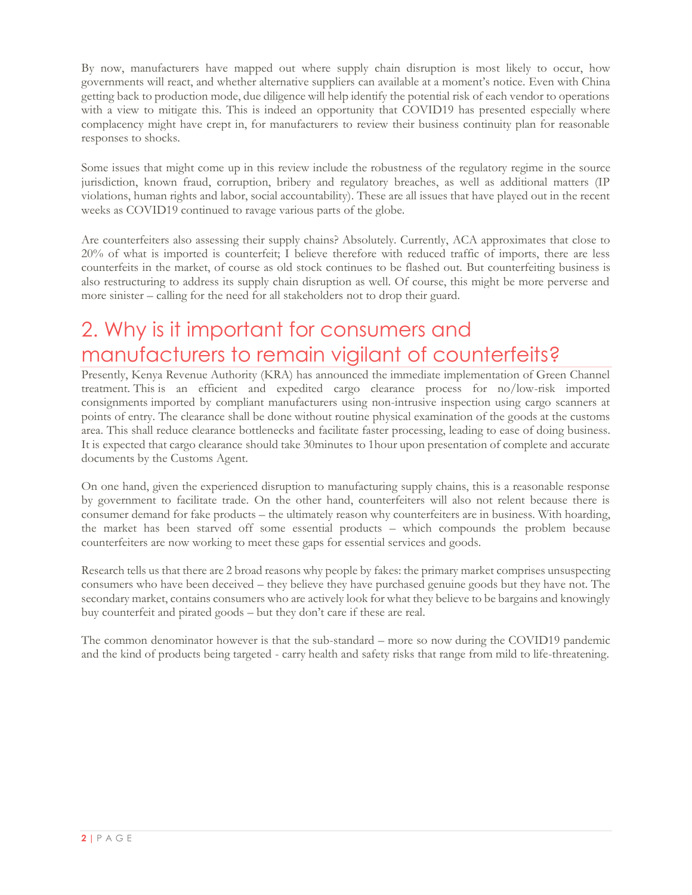By now, manufacturers have mapped out where supply chain disruption is most likely to occur, how governments will react, and whether alternative suppliers can available at a moment's notice. Even with China getting back to production mode, due diligence will help identify the potential risk of each vendor to operations with a view to mitigate this. This is indeed an opportunity that COVID19 has presented especially where complacency might have crept in, for manufacturers to review their business continuity plan for reasonable responses to shocks.

Some issues that might come up in this review include the robustness of the regulatory regime in the source jurisdiction, known fraud, corruption, bribery and regulatory breaches, as well as additional matters (IP violations, human rights and labor, social accountability). These are all issues that have played out in the recent weeks as COVID19 continued to ravage various parts of the globe.

Are counterfeiters also assessing their supply chains? Absolutely. Currently, ACA approximates that close to 20% of what is imported is counterfeit; I believe therefore with reduced traffic of imports, there are less counterfeits in the market, of course as old stock continues to be flashed out. But counterfeiting business is also restructuring to address its supply chain disruption as well. Of course, this might be more perverse and more sinister – calling for the need for all stakeholders not to drop their guard.

# 2. Why is it important for consumers and manufacturers to remain vigilant of counterfeits?

Presently, Kenya Revenue Authority (KRA) has announced the immediate implementation of Green Channel treatment. This is an efficient and expedited cargo clearance process for no/low-risk imported consignments imported by compliant manufacturers using non-intrusive inspection using cargo scanners at points of entry. The clearance shall be done without routine physical examination of the goods at the customs area. This shall reduce clearance bottlenecks and facilitate faster processing, leading to ease of doing business. It is expected that cargo clearance should take 30minutes to 1hour upon presentation of complete and accurate documents by the Customs Agent.

On one hand, given the experienced disruption to manufacturing supply chains, this is a reasonable response by government to facilitate trade. On the other hand, counterfeiters will also not relent because there is consumer demand for fake products – the ultimately reason why counterfeiters are in business. With hoarding, the market has been starved off some essential products – which compounds the problem because counterfeiters are now working to meet these gaps for essential services and goods.

Research tells us that there are 2 broad reasons why people by fakes: the primary market comprises unsuspecting consumers who have been deceived – they believe they have purchased genuine goods but they have not. The secondary market, contains consumers who are actively look for what they believe to be bargains and knowingly buy counterfeit and pirated goods – but they don't care if these are real.

The common denominator however is that the sub-standard – more so now during the COVID19 pandemic and the kind of products being targeted - carry health and safety risks that range from mild to life-threatening.